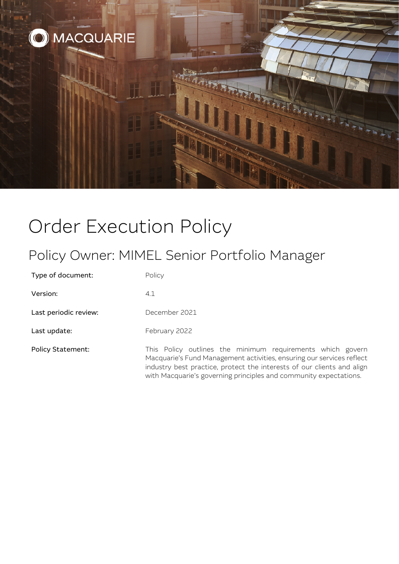

# Order Execution Policy

# Policy Owner: MIMEL Senior Portfolio Manager

Type of document: Policy

Version: 4.1

Last periodic review: December 2021

Last update: February 2022

Policy Statement: This Policy outlines the minimum requirements which govern Macquarie's Fund Management activities, ensuring our services reflect industry best practice, protect the interests of our clients and align with Macquarie's governing principles and community expectations.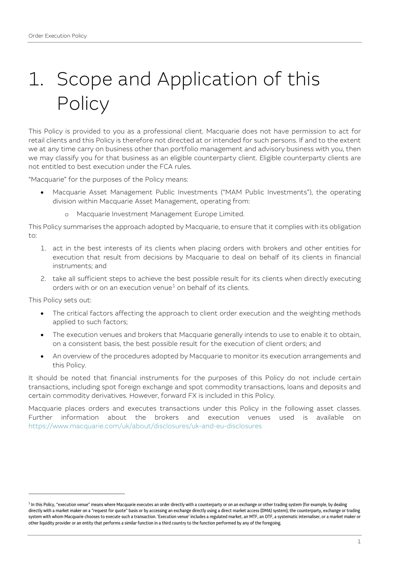# 1. Scope and Application of this **Policy**

This Policy is provided to you as a professional client. Macquarie does not have permission to act for retail clients and this Policy is therefore not directed at or intended for such persons. If and to the extent we at any time carry on business other than portfolio management and advisory business with you, then we may classify you for that business as an eligible counterparty client. Eligible counterparty clients are not entitled to best execution under the FCA rules.

"Macquarie" for the purposes of the Policy means:

- Macquarie Asset Management Public Investments ("MAM Public Investments"), the operating division within Macquarie Asset Management, operating from:
	- o Macquarie Investment Management Europe Limited.

This Policy summarises the approach adopted by Macquarie, to ensure that it complies with its obligation to:

- 1. act in the best interests of its clients when placing orders with brokers and other entities for execution that result from decisions by Macquarie to deal on behalf of its clients in financial instruments; and
- 2. take all sufficient steps to achieve the best possible result for its clients when directly executing orders with or on an execution venue<sup>[1](#page-1-0)</sup> on behalf of its clients.

This Policy sets out:

- The critical factors affecting the approach to client order execution and the weighting methods applied to such factors;
- The execution venues and brokers that Macquarie generally intends to use to enable it to obtain, on a consistent basis, the best possible result for the execution of client orders; and
- An overview of the procedures adopted by Macquarie to monitor its execution arrangements and this Policy.

It should be noted that financial instruments for the purposes of this Policy do not include certain transactions, including spot foreign exchange and spot commodity transactions, loans and deposits and certain commodity derivatives. However, forward FX is included in this Policy.

Macquarie places orders and executes transactions under this Policy in the following asset classes. Further information about the brokers and execution venues used is available on <https://www.macquarie.com/uk/about/disclosures/uk-and-eu-disclosures>

<span id="page-1-0"></span> $1$  In this Policy, "execution venue" means where Macquarie executes an order directly with a counterparty or on an exchange or other trading system (for example, by dealing directly with a market maker on a "request for quote" basis or by accessing an exchange directly using a direct market access (DMA) system), the counterparty, exchange or trading system with whom Macquarie chooses to execute such a transaction. 'Execution venue' includes a regulated market, an MTF, an OTF, a systematic internaliser, or a market maker or other liquidity provider or an entity that performs a similar function in a third country to the function performed by any of the foregoing.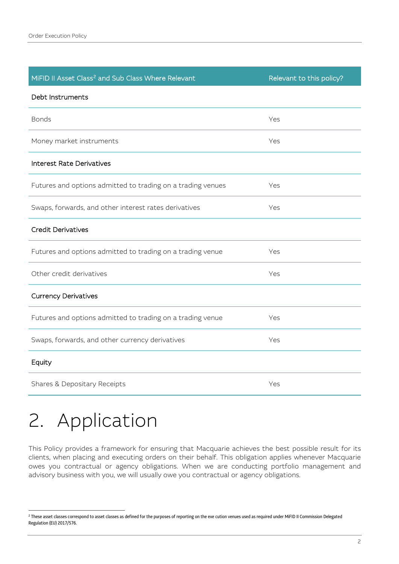| MiFID II Asset Class <sup>2</sup> and Sub Class Where Relevant | Relevant to this policy? |
|----------------------------------------------------------------|--------------------------|
| Debt Instruments                                               |                          |
| <b>Bonds</b>                                                   | Yes                      |
| Money market instruments                                       | Yes                      |
| <b>Interest Rate Derivatives</b>                               |                          |
| Futures and options admitted to trading on a trading venues    | Yes                      |
| Swaps, forwards, and other interest rates derivatives          | Yes                      |
| <b>Credit Derivatives</b>                                      |                          |
| Futures and options admitted to trading on a trading venue     | Yes                      |
| Other credit derivatives                                       | Yes                      |
| <b>Currency Derivatives</b>                                    |                          |
| Futures and options admitted to trading on a trading venue     | Yes                      |
| Swaps, forwards, and other currency derivatives                | Yes                      |
| Equity                                                         |                          |
| Shares & Depositary Receipts                                   | Yes                      |

# 2. Application

This Policy provides a framework for ensuring that Macquarie achieves the best possible result for its clients, when placing and executing orders on their behalf. This obligation applies whenever Macquarie owes you contractual or agency obligations. When we are conducting portfolio management and advisory business with you, we will usually owe you contractual or agency obligations.

<span id="page-2-0"></span><sup>&</sup>lt;sup>2</sup> These asset classes correspond to asset classes as defined for the purposes of reporting on the exe cution venues used as required under MiFID II Commission Delegated Regulation (EU) 2017/576.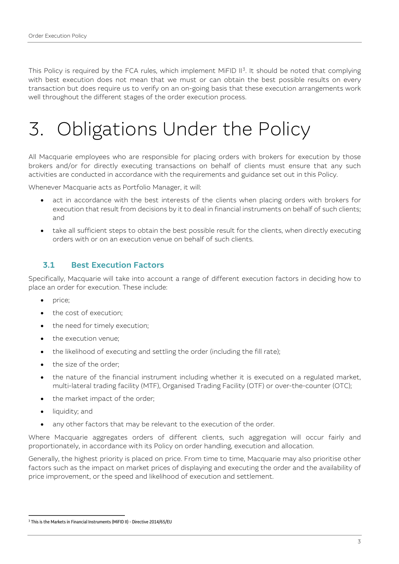This Policy is required by the FCA rules, which implement MiFID  $II^3$  $II^3$ . It should be noted that complying with best execution does not mean that we must or can obtain the best possible results on every transaction but does require us to verify on an on-going basis that these execution arrangements work well throughout the different stages of the order execution process.

# 3. Obligations Under the Policy

All Macquarie employees who are responsible for placing orders with brokers for execution by those brokers and/or for directly executing transactions on behalf of clients must ensure that any such activities are conducted in accordance with the requirements and guidance set out in this Policy.

Whenever Macquarie acts as Portfolio Manager, it will:

- act in accordance with the best interests of the clients when placing orders with brokers for execution that result from decisions by it to deal in financial instruments on behalf of such clients; and
- take all sufficient steps to obtain the best possible result for the clients, when directly executing orders with or on an execution venue on behalf of such clients.

## 3.1 Best Execution Factors

Specifically, Macquarie will take into account a range of different execution factors in deciding how to place an order for execution. These include:

- price;
- the cost of execution;
- the need for timely execution;
- the execution venue;
- the likelihood of executing and settling the order (including the fill rate);
- the size of the order:
- the nature of the financial instrument including whether it is executed on a regulated market, multi-lateral trading facility (MTF), Organised Trading Facility (OTF) or over-the-counter (OTC);
- the market impact of the order;
- liquidity; and
- any other factors that may be relevant to the execution of the order.

Where Macquarie aggregates orders of different clients, such aggregation will occur fairly and proportionately, in accordance with its Policy on order handling, execution and allocation.

Generally, the highest priority is placed on price. From time to time, Macquarie may also prioritise other factors such as the impact on market prices of displaying and executing the order and the availability of price improvement, or the speed and likelihood of execution and settlement.

<span id="page-3-0"></span><sup>3</sup> This is the Markets in Financial Instruments (MiFID II) - Directive 2014/65/EU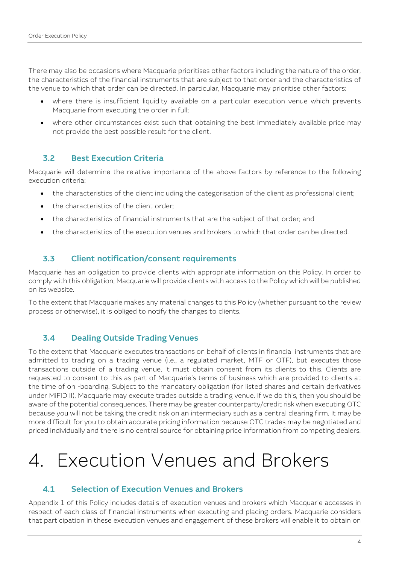There may also be occasions where Macquarie prioritises other factors including the nature of the order, the characteristics of the financial instruments that are subject to that order and the characteristics of the venue to which that order can be directed. In particular, Macquarie may prioritise other factors:

- where there is insufficient liquidity available on a particular execution venue which prevents Macquarie from executing the order in full;
- where other circumstances exist such that obtaining the best immediately available price may not provide the best possible result for the client.

## 3.2 Best Execution Criteria

Macquarie will determine the relative importance of the above factors by reference to the following execution criteria:

- the characteristics of the client including the categorisation of the client as professional client;
- the characteristics of the client order:
- the characteristics of financial instruments that are the subject of that order; and
- the characteristics of the execution venues and brokers to which that order can be directed.

## 3.3 Client notification/consent requirements

Macquarie has an obligation to provide clients with appropriate information on this Policy. In order to comply with this obligation, Macquarie will provide clients with access to the Policy which will be published on its website.

To the extent that Macquarie makes any material changes to this Policy (whether pursuant to the review process or otherwise), it is obliged to notify the changes to clients.

## 3.4 Dealing Outside Trading Venues

To the extent that Macquarie executes transactions on behalf of clients in financial instruments that are admitted to trading on a trading venue (i.e., a regulated market, MTF or OTF), but executes those transactions outside of a trading venue, it must obtain consent from its clients to this. Clients are requested to consent to this as part of Macquarie's terms of business which are provided to clients at the time of on -boarding. Subject to the mandatory obligation (for listed shares and certain derivatives under MiFID II), Macquarie may execute trades outside a trading venue. If we do this, then you should be aware of the potential consequences. There may be greater counterparty/credit risk when executing OTC because you will not be taking the credit risk on an intermediary such as a central clearing firm. It may be more difficult for you to obtain accurate pricing information because OTC trades may be negotiated and priced individually and there is no central source for obtaining price information from competing dealers.

# 4. Execution Venues and Brokers

## 4.1 Selection of Execution Venues and Brokers

Appendix 1 of this Policy includes details of execution venues and brokers which Macquarie accesses in respect of each class of financial instruments when executing and placing orders. Macquarie considers that participation in these execution venues and engagement of these brokers will enable it to obtain on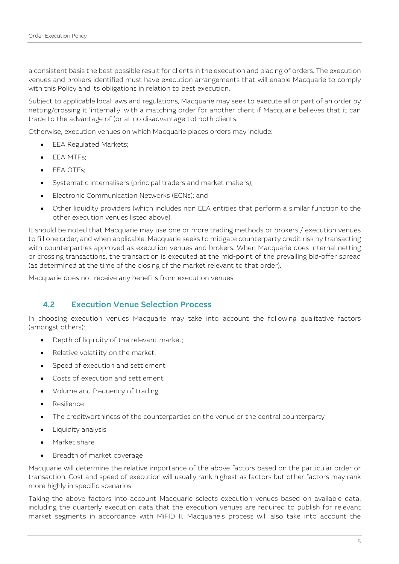a consistent basis the best possible result for clients in the execution and placing of orders. The execution venues and brokers identified must have execution arrangements that will enable Macquarie to comply with this Policy and its obligations in relation to best execution.

Subject to applicable local laws and regulations, Macquarie may seek to execute all or part of an order by netting/crossing it 'internally' with a matching order for another client if Macquarie believes that it can trade to the advantage of (or at no disadvantage to) both clients.

Otherwise, execution venues on which Macquarie places orders may include:

- **EEA Regulated Markets:**
- EEA MTFs;
- FFA OTFs:
- Systematic internalisers (principal traders and market makers);
- Electronic Communication Networks (ECNs); and
- Other liquidity providers (which includes non EEA entities that perform a similar function to the other execution venues listed above).

It should be noted that Macquarie may use one or more trading methods or brokers / execution venues to fill one order; and when applicable, Macquarie seeks to mitigate counterparty credit risk by transacting with counterparties approved as execution venues and brokers. When Macquarie does internal netting or crossing transactions, the transaction is executed at the mid-point of the prevailing bid-offer spread (as determined at the time of the closing of the market relevant to that order).

Macquarie does not receive any benefits from execution venues.

## 4.2 Execution Venue Selection Process

In choosing execution venues Macquarie may take into account the following qualitative factors (amongst others):

- Depth of liquidity of the relevant market;
- Relative volatility on the market;
- Speed of execution and settlement
- Costs of execution and settlement
- Volume and frequency of trading
- Resilience
- The creditworthiness of the counterparties on the venue or the central counterparty
- Liquidity analysis
- Market share
- Breadth of market coverage

Macquarie will determine the relative importance of the above factors based on the particular order or transaction. Cost and speed of execution will usually rank highest as factors but other factors may rank more highly in specific scenarios.

Taking the above factors into account Macquarie selects execution venues based on available data, including the quarterly execution data that the execution venues are required to publish for relevant market segments in accordance with MiFID II. Macquarie's process will also take into account the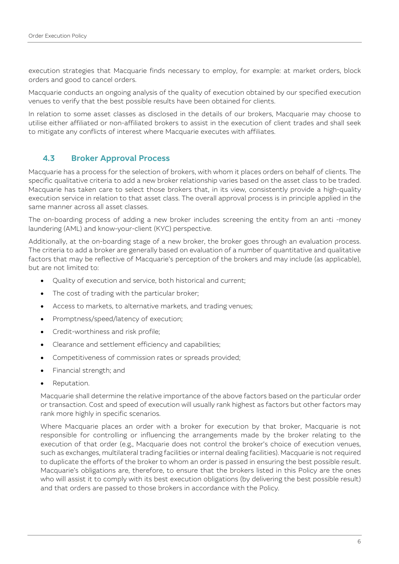execution strategies that Macquarie finds necessary to employ, for example: at market orders, block orders and good to cancel orders.

Macquarie conducts an ongoing analysis of the quality of execution obtained by our specified execution venues to verify that the best possible results have been obtained for clients.

In relation to some asset classes as disclosed in the details of our brokers, Macquarie may choose to utilise either affiliated or non-affiliated brokers to assist in the execution of client trades and shall seek to mitigate any conflicts of interest where Macquarie executes with affiliates.

## 4.3 Broker Approval Process

Macquarie has a process for the selection of brokers, with whom it places orders on behalf of clients. The specific qualitative criteria to add a new broker relationship varies based on the asset class to be traded. Macquarie has taken care to select those brokers that, in its view, consistently provide a high-quality execution service in relation to that asset class. The overall approval process is in principle applied in the same manner across all asset classes.

The on-boarding process of adding a new broker includes screening the entity from an anti -money laundering (AML) and know-your-client (KYC) perspective.

Additionally, at the on-boarding stage of a new broker, the broker goes through an evaluation process. The criteria to add a broker are generally based on evaluation of a number of quantitative and qualitative factors that may be reflective of Macquarie's perception of the brokers and may include (as applicable), but are not limited to:

- Quality of execution and service, both historical and current;
- The cost of trading with the particular broker;
- Access to markets, to alternative markets, and trading venues;
- Promptness/speed/latency of execution;
- Credit-worthiness and risk profile;
- Clearance and settlement efficiency and capabilities;
- Competitiveness of commission rates or spreads provided;
- Financial strength; and
- Reputation.

Macquarie shall determine the relative importance of the above factors based on the particular order or transaction. Cost and speed of execution will usually rank highest as factors but other factors may rank more highly in specific scenarios.

Where Macquarie places an order with a broker for execution by that broker, Macquarie is not responsible for controlling or influencing the arrangements made by the broker relating to the execution of that order (e.g., Macquarie does not control the broker's choice of execution venues, such as exchanges, multilateral trading facilities or internal dealing facilities). Macquarie is not required to duplicate the efforts of the broker to whom an order is passed in ensuring the best possible result. Macquarie's obligations are, therefore, to ensure that the brokers listed in this Policy are the ones who will assist it to comply with its best execution obligations (by delivering the best possible result) and that orders are passed to those brokers in accordance with the Policy.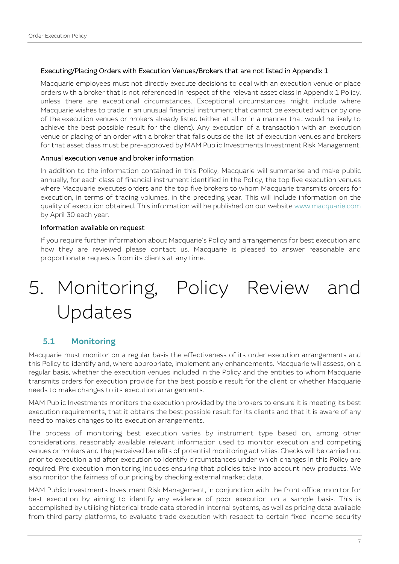#### Executing/Placing Orders with Execution Venues/Brokers that are not listed in Appendix 1

Macquarie employees must not directly execute decisions to deal with an execution venue or place orders with a broker that is not referenced in respect of the relevant asset class in Appendix 1 Policy, unless there are exceptional circumstances. Exceptional circumstances might include where Macquarie wishes to trade in an unusual financial instrument that cannot be executed with or by one of the execution venues or brokers already listed (either at all or in a manner that would be likely to achieve the best possible result for the client). Any execution of a transaction with an execution venue or placing of an order with a broker that falls outside the list of execution venues and brokers for that asset class must be pre-approved by MAM Public Investments Investment Risk Management.

#### Annual execution venue and broker information

In addition to the information contained in this Policy, Macquarie will summarise and make public annually, for each class of financial instrument identified in the Policy, the top five execution venues where Macquarie executes orders and the top five brokers to whom Macquarie transmits orders for execution, in terms of trading volumes, in the preceding year. This will include information on the quality of execution obtained. This information will be published on our website [www.macquarie.com](http://www.macquarie.com/) by April 30 each year.

#### Information available on request

If you require further information about Macquarie's Policy and arrangements for best execution and how they are reviewed please contact us. Macquarie is pleased to answer reasonable and proportionate requests from its clients at any time.

# 5. Monitoring, Policy Review and Updates

## 5.1 Monitoring

Macquarie must monitor on a regular basis the effectiveness of its order execution arrangements and this Policy to identify and, where appropriate, implement any enhancements. Macquarie will assess, on a regular basis, whether the execution venues included in the Policy and the entities to whom Macquarie transmits orders for execution provide for the best possible result for the client or whether Macquarie needs to make changes to its execution arrangements.

MAM Public Investments monitors the execution provided by the brokers to ensure it is meeting its best execution requirements, that it obtains the best possible result for its clients and that it is aware of any need to makes changes to its execution arrangements.

The process of monitoring best execution varies by instrument type based on, among other considerations, reasonably available relevant information used to monitor execution and competing venues or brokers and the perceived benefits of potential monitoring activities. Checks will be carried out prior to execution and after execution to identify circumstances under which changes in this Policy are required. Pre execution monitoring includes ensuring that policies take into account new products. We also monitor the fairness of our pricing by checking external market data.

MAM Public Investments Investment Risk Management, in conjunction with the front office, monitor for best execution by aiming to identify any evidence of poor execution on a sample basis. This is accomplished by utilising historical trade data stored in internal systems, as well as pricing data available from third party platforms, to evaluate trade execution with respect to certain fixed income security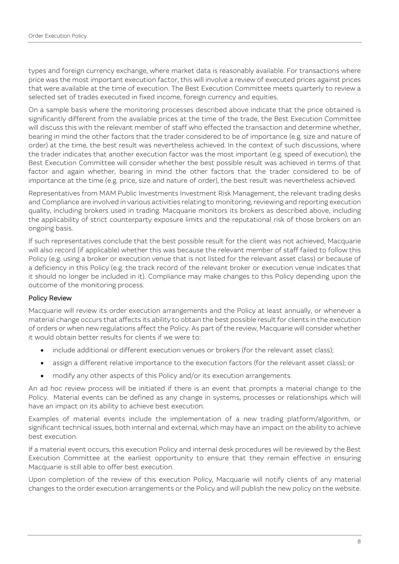types and foreign currency exchange, where market data is reasonably available. For transactions where price was the most important execution factor, this will involve a review of executed prices against prices that were available at the time of execution. The Best Execution Committee meets quarterly to review a selected set of trades executed in fixed income, foreign currency and equities.

On a sample basis where the monitoring processes described above indicate that the price obtained is significantly different from the available prices at the time of the trade, the Best Execution Committee will discuss this with the relevant member of staff who effected the transaction and determine whether, bearing in mind the other factors that the trader considered to be of importance (e.g. size and nature of order) at the time, the best result was nevertheless achieved. In the context of such discussions, where the trader indicates that another execution factor was the most important (e.g. speed of execution), the Best Execution Committee will consider whether the best possible result was achieved in terms of that factor and again whether, bearing in mind the other factors that the trader considered to be of importance at the time (e.g. price, size and nature of order), the best result was nevertheless achieved.

Representatives from MAM Public Investments Investment Risk Management, the relevant trading desks and Compliance are involved in various activities relating to monitoring, reviewing and reporting execution quality, including brokers used in trading. Macquarie monitors its brokers as described above, including the applicability of strict counterparty exposure limits and the reputational risk of those brokers on an ongoing basis.

If such representatives conclude that the best possible result for the client was not achieved, Macquarie will also record (if applicable) whether this was because the relevant member of staff failed to follow this Policy (e.g. using a broker or execution venue that is not listed for the relevant asset class) or because of a deficiency in this Policy (e.g. the track record of the relevant broker or execution venue indicates that it should no longer be included in it). Compliance may make changes to this Policy depending upon the outcome of the monitoring process.

#### Policy Review

Macquarie will review its order execution arrangements and the Policy at least annually, or whenever a material change occurs that affects its ability to obtain the best possible result for clients in the execution of orders or when new regulations affect the Policy. As part of the review, Macquarie will consider whether it would obtain better results for clients if we were to:

- include additional or different execution venues or brokers (for the relevant asset class);
- assign a different relative importance to the execution factors (for the relevant asset class); or
- modify any other aspects of this Policy and/or its execution arrangements.

An ad hoc review process will be initiated if there is an event that prompts a material change to the Policy. Material events can be defined as any change in systems, processes or relationships which will have an impact on its ability to achieve best execution.

Examples of material events include the implementation of a new trading platform/algorithm, or significant technical issues, both internal and external, which may have an impact on the ability to achieve best execution.

If a material event occurs, this execution Policy and internal desk procedures will be reviewed by the Best Execution Committee at the earliest opportunity to ensure that they remain effective in ensuring Macquarie is still able to offer best execution.

Upon completion of the review of this execution Policy, Macquarie will notify clients of any material changes to the order execution arrangements or the Policy and will publish the new policy on the website.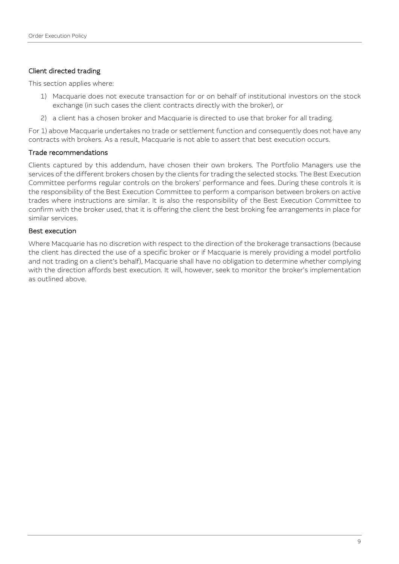#### Client directed trading

This section applies where:

- 1) Macquarie does not execute transaction for or on behalf of institutional investors on the stock exchange (in such cases the client contracts directly with the broker), or
- 2) a client has a chosen broker and Macquarie is directed to use that broker for all trading.

For 1) above Macquarie undertakes no trade or settlement function and consequently does not have any contracts with brokers. As a result, Macquarie is not able to assert that best execution occurs.

#### Trade recommendations

Clients captured by this addendum, have chosen their own brokers. The Portfolio Managers use the services of the different brokers chosen by the clients for trading the selected stocks. The Best Execution Committee performs regular controls on the brokers' performance and fees. During these controls it is the responsibility of the Best Execution Committee to perform a comparison between brokers on active trades where instructions are similar. It is also the responsibility of the Best Execution Committee to confirm with the broker used, that it is offering the client the best broking fee arrangements in place for similar services.

#### Best execution

Where Macquarie has no discretion with respect to the direction of the brokerage transactions (because the client has directed the use of a specific broker or if Macquarie is merely providing a model portfolio and not trading on a client's behalf), Macquarie shall have no obligation to determine whether complying with the direction affords best execution. It will, however, seek to monitor the broker's implementation as outlined above.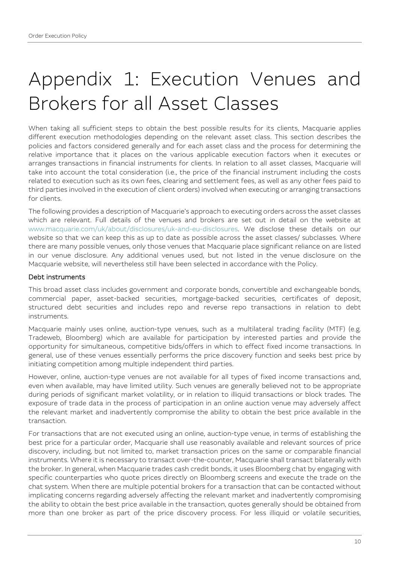# Appendix 1: Execution Venues and Brokers for all Asset Classes

When taking all sufficient steps to obtain the best possible results for its clients, Macquarie applies different execution methodologies depending on the relevant asset class. This section describes the policies and factors considered generally and for each asset class and the process for determining the relative importance that it places on the various applicable execution factors when it executes or arranges transactions in financial instruments for clients. In relation to all asset classes, Macquarie will take into account the total consideration (i.e., the price of the financial instrument including the costs related to execution such as its own fees, clearing and settlement fees, as well as any other fees paid to third parties involved in the execution of client orders) involved when executing or arranging transactions for clients.

The following provides a description of Macquarie's approach to executing orders across the asset classes which are relevant. Full details of the venues and brokers are set out in detail on the website at [www.macquarie.com/uk/about/disclosures/uk-and-eu-disclosures.](http://www.macquarie.com/uk/about/disclosures/uk-and-eu-disclosures) We disclose these details on our website so that we can keep this as up to date as possible across the asset classes/ subclasses. Where there are many possible venues, only those venues that Macquarie place significant reliance on are listed in our venue disclosure. Any additional venues used, but not listed in the venue disclosure on the Macquarie website, will nevertheless still have been selected in accordance with the Policy.

#### Debt instruments

This broad asset class includes government and corporate bonds, convertible and exchangeable bonds, commercial paper, asset-backed securities, mortgage-backed securities, certificates of deposit, structured debt securities and includes repo and reverse repo transactions in relation to debt instruments.

Macquarie mainly uses online, auction-type venues, such as a multilateral trading facility (MTF) (e.g. Tradeweb, Bloomberg) which are available for participation by interested parties and provide the opportunity for simultaneous, competitive bids/offers in which to effect fixed income transactions. In general, use of these venues essentially performs the price discovery function and seeks best price by initiating competition among multiple independent third parties.

However, online, auction-type venues are not available for all types of fixed income transactions and, even when available, may have limited utility. Such venues are generally believed not to be appropriate during periods of significant market volatility, or in relation to illiquid transactions or block trades. The exposure of trade data in the process of participation in an online auction venue may adversely affect the relevant market and inadvertently compromise the ability to obtain the best price available in the transaction.

For transactions that are not executed using an online, auction-type venue, in terms of establishing the best price for a particular order, Macquarie shall use reasonably available and relevant sources of price discovery, including, but not limited to, market transaction prices on the same or comparable financial instruments. Where it is necessary to transact over-the-counter, Macquarie shall transact bilaterally with the broker. In general, when Macquarie trades cash credit bonds, it uses Bloomberg chat by engaging with specific counterparties who quote prices directly on Bloomberg screens and execute the trade on the chat system. When there are multiple potential brokers for a transaction that can be contacted without implicating concerns regarding adversely affecting the relevant market and inadvertently compromising the ability to obtain the best price available in the transaction, quotes generally should be obtained from more than one broker as part of the price discovery process. For less illiquid or volatile securities,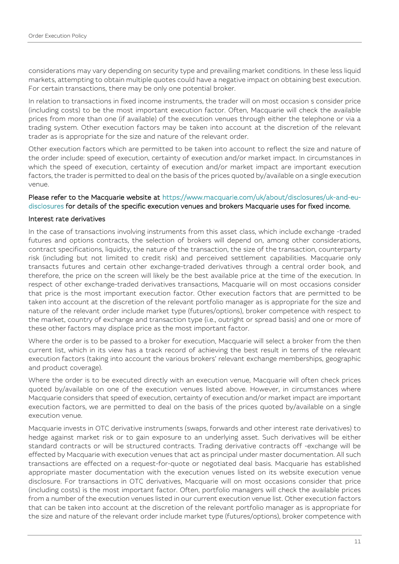considerations may vary depending on security type and prevailing market conditions. In these less liquid markets, attempting to obtain multiple quotes could have a negative impact on obtaining best execution. For certain transactions, there may be only one potential broker.

In relation to transactions in fixed income instruments, the trader will on most occasion s consider price (including costs) to be the most important execution factor. Often, Macquarie will check the available prices from more than one (if available) of the execution venues through either the telephone or via a trading system. Other execution factors may be taken into account at the discretion of the relevant trader as is appropriate for the size and nature of the relevant order.

Other execution factors which are permitted to be taken into account to reflect the size and nature of the order include: speed of execution, certainty of execution and/or market impact. In circumstances in which the speed of execution, certainty of execution and/or market impact are important execution factors, the trader is permitted to deal on the basis of the prices quoted by/available on a single execution venue.

#### Please refer to the Macquarie website at [https://www.macquarie.com/uk/about/disclosures/uk-and-eu](https://www.macquarie.com/uk/about/disclosures/uk-and-eu-disclosures)[disclosures](https://www.macquarie.com/uk/about/disclosures/uk-and-eu-disclosures) for details of the specific execution venues and brokers Macquarie uses for fixed income.

#### Interest rate derivatives

In the case of transactions involving instruments from this asset class, which include exchange -traded futures and options contracts, the selection of brokers will depend on, among other considerations, contract specifications, liquidity, the nature of the transaction, the size of the transaction, counterparty risk (including but not limited to credit risk) and perceived settlement capabilities. Macquarie only transacts futures and certain other exchange-traded derivatives through a central order book, and therefore, the price on the screen will likely be the best available price at the time of the execution. In respect of other exchange-traded derivatives transactions, Macquarie will on most occasions consider that price is the most important execution factor. Other execution factors that are permitted to be taken into account at the discretion of the relevant portfolio manager as is appropriate for the size and nature of the relevant order include market type (futures/options), broker competence with respect to the market, country of exchange and transaction type (i.e., outright or spread basis) and one or more of these other factors may displace price as the most important factor.

Where the order is to be passed to a broker for execution, Macquarie will select a broker from the then current list, which in its view has a track record of achieving the best result in terms of the relevant execution factors (taking into account the various brokers' relevant exchange memberships, geographic and product coverage).

Where the order is to be executed directly with an execution venue, Macquarie will often check prices quoted by/available on one of the execution venues listed above. However, in circumstances where Macquarie considers that speed of execution, certainty of execution and/or market impact are important execution factors, we are permitted to deal on the basis of the prices quoted by/available on a single execution venue.

Macquarie invests in OTC derivative instruments (swaps, forwards and other interest rate derivatives) to hedge against market risk or to gain exposure to an underlying asset. Such derivatives will be either standard contracts or will be structured contracts. Trading derivative contracts off -exchange will be effected by Macquarie with execution venues that act as principal under master documentation. All such transactions are effected on a request-for-quote or negotiated deal basis. Macquarie has established appropriate master documentation with the execution venues listed on its website execution venue disclosure. For transactions in OTC derivatives, Macquarie will on most occasions consider that price (including costs) is the most important factor. Often, portfolio managers will check the available prices from a number of the execution venues listed in our current execution venue list. Other execution factors that can be taken into account at the discretion of the relevant portfolio manager as is appropriate for the size and nature of the relevant order include market type (futures/options), broker competence with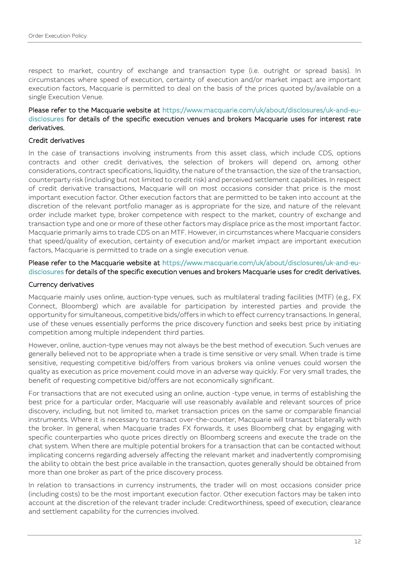respect to market, country of exchange and transaction type (i.e. outright or spread basis). In circumstances where speed of execution, certainty of execution and/or market impact are important execution factors, Macquarie is permitted to deal on the basis of the prices quoted by/available on a single Execution Venue.

#### Please refer to the Macquarie website at [https://www.macquarie.com/uk/about/disclosures/uk-and-eu](https://www.macquarie.com/uk/about/disclosures/uk-and-eu-disclosures)[disclosures](https://www.macquarie.com/uk/about/disclosures/uk-and-eu-disclosures) for details of the specific execution venues and brokers Macquarie uses for interest rate derivatives.

#### Credit derivatives

In the case of transactions involving instruments from this asset class, which include CDS, options contracts and other credit derivatives, the selection of brokers will depend on, among other considerations, contract specifications, liquidity, the nature of the transaction, the size of the transaction, counterparty risk (including but not limited to credit risk) and perceived settlement capabilities. In respect of credit derivative transactions, Macquarie will on most occasions consider that price is the most important execution factor. Other execution factors that are permitted to be taken into account at the discretion of the relevant portfolio manager as is appropriate for the size, and nature of the relevant order include market type, broker competence with respect to the market, country of exchange and transaction type and one or more of these other factors may displace price as the most important factor. Macquarie primarily aims to trade CDS on an MTF. However, in circumstances where Macquarie considers that speed/quality of execution, certainty of execution and/or market impact are important execution factors, Macquarie is permitted to trade on a single execution venue.

#### Please refer to the Macquarie website at [https://www.macquarie.com/uk/about/disclosures/uk-and-eu](https://www.macquarie.com/uk/about/disclosures/uk-and-eu-disclosures)[disclosures](https://www.macquarie.com/uk/about/disclosures/uk-and-eu-disclosures) for details of the specific execution venues and brokers Macquarie uses for credit derivatives.

#### Currency derivatives

Macquarie mainly uses online, auction-type venues, such as multilateral trading facilities (MTF) (e.g., FX Connect, Bloomberg) which are available for participation by interested parties and provide the opportunity for simultaneous, competitive bids/offers in which to effect currency transactions. In general, use of these venues essentially performs the price discovery function and seeks best price by initiating competition among multiple independent third parties.

However, online, auction-type venues may not always be the best method of execution. Such venues are generally believed not to be appropriate when a trade is time sensitive or very small. When trade is time sensitive, requesting competitive bid/offers from various brokers via online venues could worsen the quality as execution as price movement could move in an adverse way quickly. For very small trades, the benefit of requesting competitive bid/offers are not economically significant.

For transactions that are not executed using an online, auction -type venue, in terms of establishing the best price for a particular order, Macquarie will use reasonably available and relevant sources of price discovery, including, but not limited to, market transaction prices on the same or comparable financial instruments. Where it is necessary to transact over-the-counter, Macquarie will transact bilaterally with the broker. In general, when Macquarie trades FX forwards, it uses Bloomberg chat by engaging with specific counterparties who quote prices directly on Bloomberg screens and execute the trade on the chat system. When there are multiple potential brokers for a transaction that can be contacted without implicating concerns regarding adversely affecting the relevant market and inadvertently compromising the ability to obtain the best price available in the transaction, quotes generally should be obtained from more than one broker as part of the price discovery process.

In relation to transactions in currency instruments, the trader will on most occasions consider price (including costs) to be the most important execution factor. Other execution factors may be taken into account at the discretion of the relevant trader include: Creditworthiness, speed of execution, clearance and settlement capability for the currencies involved.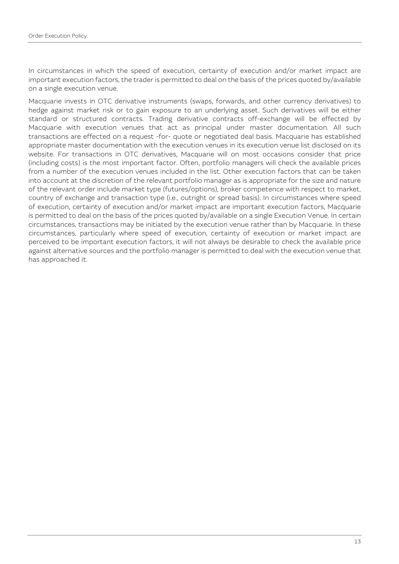In circumstances in which the speed of execution, certainty of execution and/or market impact are important execution factors, the trader is permitted to deal on the basis of the prices quoted by/available on a single execution venue.

Macquarie invests in OTC derivative instruments (swaps, forwards, and other currency derivatives) to hedge against market risk or to gain exposure to an underlying asset. Such derivatives will be either standard or structured contracts. Trading derivative contracts off-exchange will be effected by Macquarie with execution venues that act as principal under master documentation. All such transactions are effected on a request -for- quote or negotiated deal basis. Macquarie has established appropriate master documentation with the execution venues in its execution venue list disclosed on its website. For transactions in OTC derivatives, Macquarie will on most occasions consider that price (including costs) is the most important factor. Often, portfolio managers will check the available prices from a number of the execution venues included in the list. Other execution factors that can be taken into account at the discretion of the relevant portfolio manager as is appropriate for the size and nature of the relevant order include market type (futures/options), broker competence with respect to market, country of exchange and transaction type (i.e., outright or spread basis). In circumstances where speed of execution, certainty of execution and/or market impact are important execution factors, Macquarie is permitted to deal on the basis of the prices quoted by/available on a single Execution Venue. In certain circumstances, transactions may be initiated by the execution venue rather than by Macquarie. In these circumstances, particularly where speed of execution, certainty of execution or market impact are perceived to be important execution factors, it will not always be desirable to check the available price against alternative sources and the portfolio manager is permitted to deal with the execution venue that has approached it.